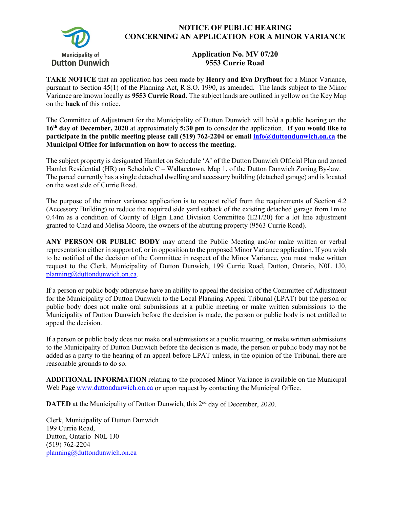

## **NOTICE OF PUBLIC HEARING CONCERNING AN APPLICATION FOR A MINOR VARIANCE**

## **Application No. MV 07/20 9553 Currie Road**

**TAKE NOTICE** that an application has been made by **Henry and Eva Dryfhout** for a Minor Variance, pursuant to Section 45(1) of the Planning Act, R.S.O. 1990, as amended. The lands subject to the Minor Variance are known locally as **9553 Currie Road**. The subject lands are outlined in yellow on the Key Map on the **back** of this notice.

The Committee of Adjustment for the Municipality of Dutton Dunwich will hold a public hearing on the **16th day of December, 2020** at approximately **5:30 pm** to consider the application. **If you would like to participate in the public meeting please call (519) 762-2204 or email [info@duttondunwich.on.ca](mailto:info@duttondunwich.on.ca) the Municipal Office for information on how to access the meeting.**

The subject property is designated Hamlet on Schedule 'A' of the Dutton Dunwich Official Plan and zoned Hamlet Residential (HR) on Schedule C – Wallacetown, Map 1, of the Dutton Dunwich Zoning By-law. The parcel currently has a single detached dwelling and accessory building (detached garage) and is located on the west side of Currie Road.

The purpose of the minor variance application is to request relief from the requirements of Section 4.2 (Accessory Building) to reduce the required side yard setback of the existing detached garage from 1m to 0.44m as a condition of County of Elgin Land Division Committee (E21/20) for a lot line adjustment granted to Chad and Melisa Moore, the owners of the abutting property (9563 Currie Road).

**ANY PERSON OR PUBLIC BODY** may attend the Public Meeting and/or make written or verbal representation either in support of, or in opposition to the proposed Minor Variance application. If you wish to be notified of the decision of the Committee in respect of the Minor Variance, you must make written request to the Clerk, Municipality of Dutton Dunwich, 199 Currie Road, Dutton, Ontario, N0L 1J0, [planning@duttondunwich.on.ca.](mailto:planning@duttondunwich.on.ca)

If a person or public body otherwise have an ability to appeal the decision of the Committee of Adjustment for the Municipality of Dutton Dunwich to the Local Planning Appeal Tribunal (LPAT) but the person or public body does not make oral submissions at a public meeting or make written submissions to the Municipality of Dutton Dunwich before the decision is made, the person or public body is not entitled to appeal the decision.

If a person or public body does not make oral submissions at a public meeting, or make written submissions to the Municipality of Dutton Dunwich before the decision is made, the person or public body may not be added as a party to the hearing of an appeal before LPAT unless, in the opinion of the Tribunal, there are reasonable grounds to do so.

**ADDITIONAL INFORMATION** relating to the proposed Minor Variance is available on the Municipal Web Page [www.duttondunwich.on.ca](http://www.duttondunwich.on.ca/) or upon request by contacting the Municipal Office.

**DATED** at the Municipality of Dutton Dunwich, this 2<sup>nd</sup> day of December, 2020.

Clerk, Municipality of Dutton Dunwich 199 Currie Road, Dutton, Ontario N0L 1J0 (519) 762-2204 [planning@duttondunwich.on.ca](mailto:planning@duttondunwich.on.ca)